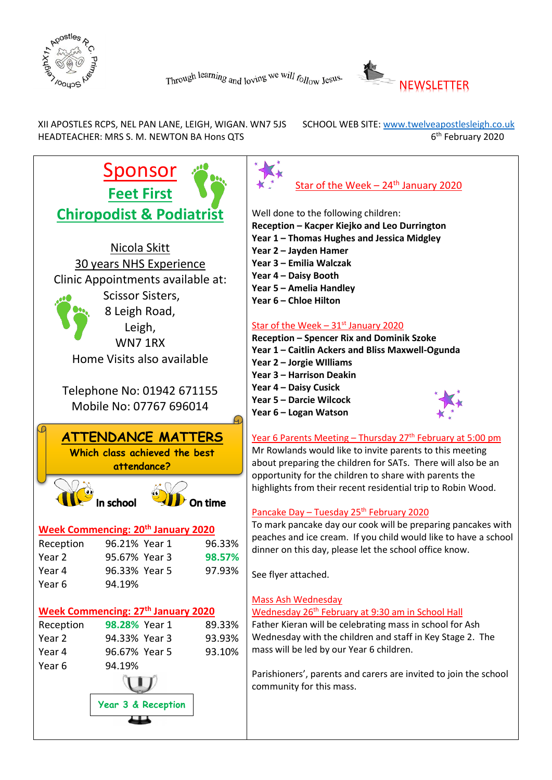



XII APOSTLES RCPS, NEL PAN LANE, LEIGH, WIGAN. WN7 5JS SCHOOL WEB SITE: www.twelveapostlesleigh.co.uk HEADTEACHER: MRS S. M. NEWTON BA Hons QTS 6

6<sup>th</sup> February 2020

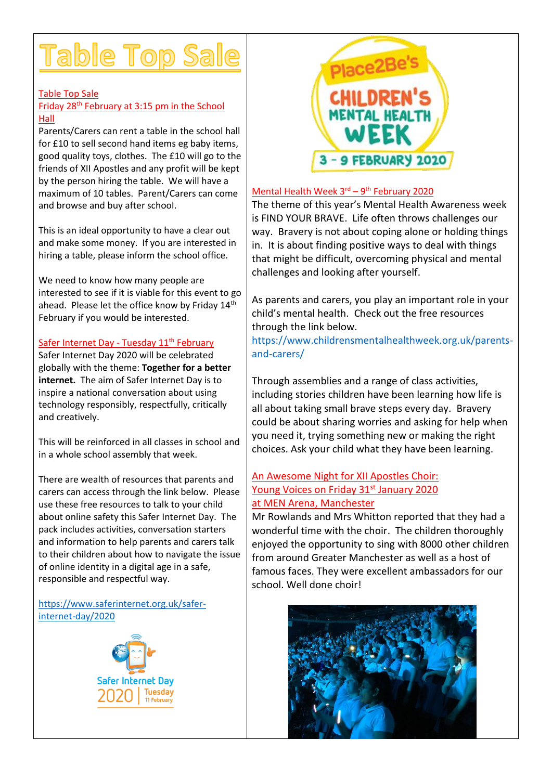# Table Top Sale

#### Table Top Sale

#### Friday 28th February at 3:15 pm in the School Hall

Parents/Carers can rent a table in the school hall for £10 to sell second hand items eg baby items, good quality toys, clothes. The £10 will go to the friends of XII Apostles and any profit will be kept by the person hiring the table. We will have a maximum of 10 tables. Parent/Carers can come and browse and buy after school.

This is an ideal opportunity to have a clear out and make some money. If you are interested in hiring a table, please inform the school office.

We need to know how many people are interested to see if it is viable for this event to go ahead. Please let the office know by Friday 14<sup>th</sup> February if you would be interested.

#### Safer Internet Day - Tuesday 11<sup>th</sup> February

Safer Internet Day 2020 will be celebrated globally with the theme: **Together for a better internet.** The aim of Safer Internet Day is to inspire a national conversation about using technology responsibly, respectfully, critically and creatively.

This will be reinforced in all classes in school and in a whole school assembly that week.

There are wealth of resources that parents and carers can access through the link below. Please use these free resources to talk to your child about online safety this Safer Internet Day. The pack includes activities, conversation starters and information to help parents and carers talk to their children about how to navigate the issue of online identity in a digital age in a safe, responsible and respectful way.

[https://www.saferinternet.org.uk/safer](https://www.saferinternet.org.uk/safer-internet-day/2020)[internet-day/2020](https://www.saferinternet.org.uk/safer-internet-day/2020)





#### Mental Health Week 3<sup>rd</sup> – 9<sup>th</sup> February 2020

The theme of this year's Mental Health Awareness week is FIND YOUR BRAVE. Life often throws challenges our way. Bravery is not about coping alone or holding things in. It is about finding positive ways to deal with things that might be difficult, overcoming physical and mental challenges and looking after yourself.

As parents and carers, you play an important role in your child's mental health. Check out the free resources through the link below.

[https://www.childrensmentalhealthweek.org.uk/parents](https://www.childrensmentalhealthweek.org.uk/parents-and-carers/)[and-carers/](https://www.childrensmentalhealthweek.org.uk/parents-and-carers/)

Through assemblies and a range of class activities, including stories children have been learning how life is all about taking small brave steps every day. Bravery could be about sharing worries and asking for help when you need it, trying something new or making the right choices. Ask your child what they have been learning.

#### An Awesome Night for XII Apostles Choir: Young Voices on Friday 31<sup>st</sup> January 2020 at MEN Arena, Manchester

Mr Rowlands and Mrs Whitton reported that they had a wonderful time with the choir. The children thoroughly enjoyed the opportunity to sing with 8000 other children from around Greater Manchester as well as a host of famous faces. They were excellent ambassadors for our school. Well done choir!

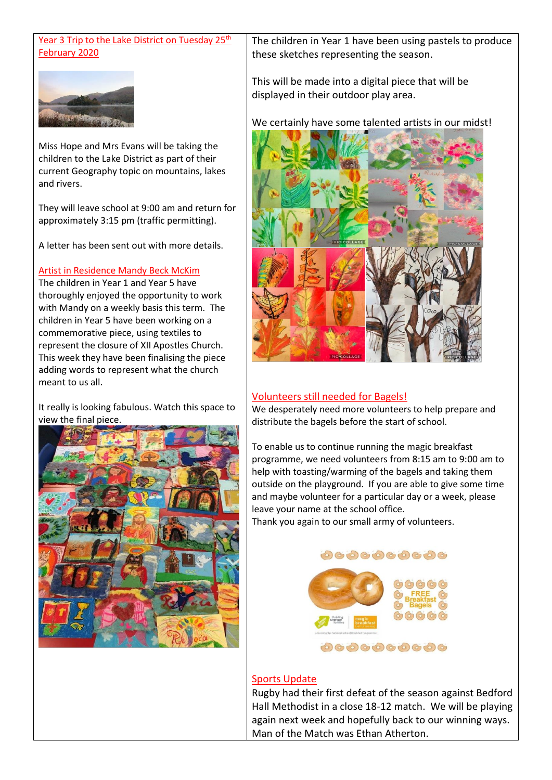#### Year 3 Trip to the Lake District on Tuesday 25<sup>th</sup> February 2020



Miss Hope and Mrs Evans will be taking the children to the Lake District as part of their current Geography topic on mountains, lakes and rivers.

They will leave school at 9:00 am and return for approximately 3:15 pm (traffic permitting).

A letter has been sent out with more details.

#### Artist in Residence Mandy Beck McKim

The children in Year 1 and Year 5 have thoroughly enjoyed the opportunity to work with Mandy on a weekly basis this term. The children in Year 5 have been working on a commemorative piece, using textiles to represent the closure of XII Apostles Church. This week they have been finalising the piece adding words to represent what the church meant to us all.

It really is looking fabulous. Watch this space to view the final piece.



The children in Year 1 have been using pastels to produce these sketches representing the season.

This will be made into a digital piece that will be displayed in their outdoor play area.

We certainly have some talented artists in our midst!



#### Volunteers still needed for Bagels!

We desperately need more volunteers to help prepare and distribute the bagels before the start of school.

To enable us to continue running the magic breakfast programme, we need volunteers from 8:15 am to 9:00 am to help with toasting/warming of the bagels and taking them outside on the playground. If you are able to give some time and maybe volunteer for a particular day or a week, please leave your name at the school office.

Thank you again to our small army of volunteers.

#### 0000000000



#### Sports Update

Rugby had their first defeat of the season against Bedford Hall Methodist in a close 18-12 match. We will be playing again next week and hopefully back to our winning ways. Man of the Match was Ethan Atherton.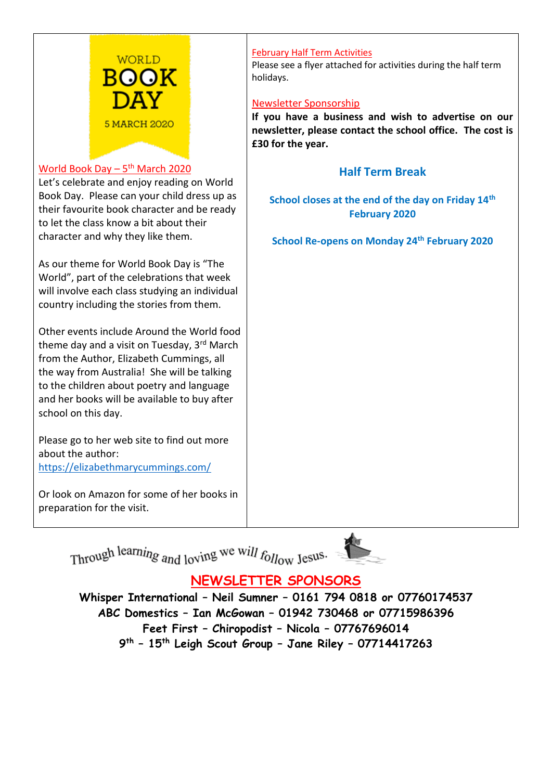

#### <u>World Book Day – 5<sup>th</sup> March 2020</u>

Let's celebrate and enjoy reading on World Book Day. Please can your child dress up as their favourite book character and be ready to let the class know a bit about their character and why they like them.

As our theme for World Book Day is "The World", part of the celebrations that week will involve each class studying an individual country including the stories from them.

Other events include Around the World food theme day and a visit on Tuesday, 3rd March from the Author, Elizabeth Cummings, all the way from Australia! She will be talking to the children about poetry and language and her books will be available to buy after school on this day.

Please go to her web site to find out more about the author: <https://elizabethmarycummings.com/>

Or look on Amazon for some of her books in preparation for the visit.

#### February Half Term Activities

Please see a flyer attached for activities during the half term holidays.

#### Newsletter Sponsorship

**If you have a business and wish to advertise on our newsletter, please contact the school office. The cost is £30 for the year.**

### **Half Term Break**

**School closes at the end of the day on Friday 14th February 2020**

**School Re-opens on Monday 24th February 2020**

Through learning and loving we will  $f_{\text{O}/\text{low}}$  Jesus.

## **NEWSLETTER SPONSORS**

**Whisper International – Neil Sumner – 0161 794 0818 or 07760174537 ABC Domestics – Ian McGowan – 01942 730468 or 07715986396 Feet First – Chiropodist – Nicola – 07767696014 9 th – 15th Leigh Scout Group – Jane Riley – 07714417263**